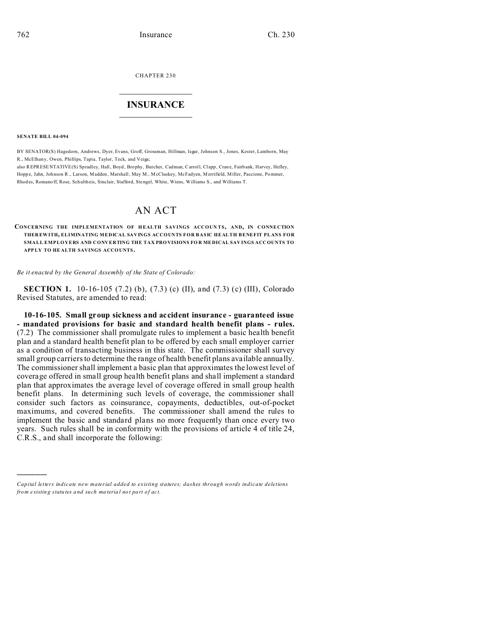CHAPTER 230  $\overline{\phantom{a}}$  , where  $\overline{\phantom{a}}$ 

## **INSURANCE**  $\_$   $\_$   $\_$   $\_$   $\_$   $\_$   $\_$   $\_$

**SENATE BILL 04-094**

)))))

BY SENATOR(S) Hagedorn, Andrews, Dyer, Evans, Groff, Grossman, Hillman, Isgar, Johnson S., Jones, Kester, Lamborn, May R., McElhan y, Owen, Phillips, Tapia, Taylor, Teck, and Veiga;

also REPRESENTATIVE(S) Spradley, Hall, Boyd, Brophy, Butcher, Cadman, Carroll, Clapp, Crane, Fairbank, Harvey, Hefley, Hoppe, Jahn, Johnson R., Larson, Madden, Marshall, May M., McCluskey, McFadyen, Merrifield, Miller, Paccione, Pommer, Rhod es, Romano ff, Rose, Schultheis, Sinclair, Stafford, Stengel, White, Wiens, Williams S., and Williams T.

## AN ACT

**CONCERNING THE IMPLEMENTATION OF H EALTH SAVINGS ACCOUN TS, AND, IN CONNECTION THER EWITH, ELIMINATING MEDICAL SAVINGS ACCOUNTS FOR BASIC HEALTH BENEFIT PLANS FOR SMALL EMPLOYERS AND CONVERTING THE TAX PRO VISIONS FO R ME DICAL SAV INGS ACCOUNTS TO APP LY TO HE ALTH SAVINGS ACCO UNTS.**

*Be it enacted by the General Assembly of the State of Colorado:*

**SECTION 1.** 10-16-105 (7.2) (b), (7.3) (c) (II), and (7.3) (c) (III), Colorado Revised Statutes, are amended to read:

**10-16-105. Small group sickness and accident insurance - guaranteed issue - mandated provisions for basic and standard health benefit plans - rules.** (7.2) The commissioner shall promulgate rules to implement a basic health benefit plan and a standard health benefit plan to be offered by each small employer carrier as a condition of transacting business in this state. The commissioner shall survey small group carriers to determine the range of health benefit plans available annually. The commissioner shall implement a basic plan that approximates the lowest level of coverage offered in small group health benefit plans and shall implement a standard plan that approximates the average level of coverage offered in small group health benefit plans. In determining such levels of coverage, the commissioner shall consider such factors as coinsurance, copayments, deductibles, out-of-pocket maximums, and covered benefits. The commissioner shall amend the rules to implement the basic and standard plans no more frequently than once every two years. Such rules shall be in conformity with the provisions of article 4 of title 24, C.R.S., and shall incorporate the following:

*Capital letters indicate new material added to existing statutes; dashes through words indicate deletions from e xistin g statu tes a nd such ma teria l no t pa rt of ac t.*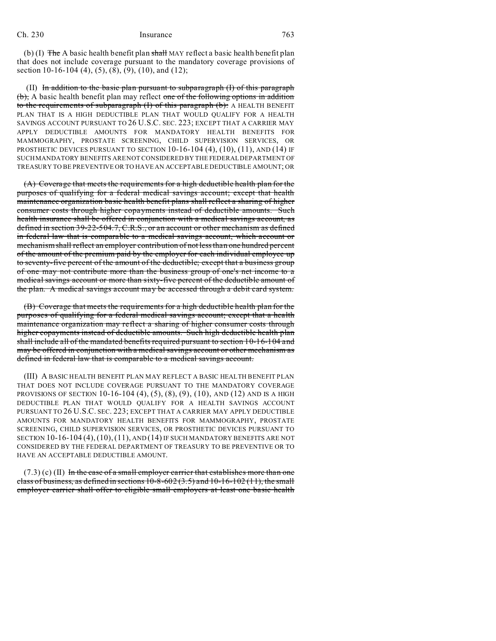## Ch. 230 Insurance 763

(b) (I)  $\overline{f}$  The A basic health benefit plan shall MAY reflect a basic health benefit plan that does not include coverage pursuant to the mandatory coverage provisions of section 10-16-104 (4), (5), (8), (9), (10), and (12);

 (II) In addition to the basic plan pursuant to subparagraph (I) of this paragraph (b), A basic health benefit plan may reflect one of the following options in addition to the requirements of subparagraph (I) of this paragraph (b): A HEALTH BENEFIT PLAN THAT IS A HIGH DEDUCTIBLE PLAN THAT WOULD QUALIFY FOR A HEALTH SAVINGS ACCOUNT PURSUANT TO 26 U.S.C. SEC. 223; EXCEPT THAT A CARRIER MAY APPLY DEDUCTIBLE AMOUNTS FOR MANDATORY HEALTH BENEFITS FOR MAMMOGRAPHY, PROSTATE SCREENING, CHILD SUPERVISION SERVICES, OR PROSTHETIC DEVICES PURSUANT TO SECTION  $10-16-104(4)$ ,  $(10)$ ,  $(11)$ , AND  $(14)$  IF SUCH MANDATORY BENEFITS ARE NOT CONSIDERED BY THE FEDERAL DEPARTMENT OF TREASURY TO BE PREVENTIVE OR TO HAVE AN ACCEPTABLE DEDUCTIBLE AMOUNT; OR

(A) Coverage that meets the requirements for a high deductible health plan for the purposes of qualifying for a federal medical savings account; except that health maintenance organization basic health benefit plans shall reflect a sharing of higher consumer costs through higher copayments instead of deductible amounts. Such health insurance shall be offered in conjunction with a medical savings account, as defined in section 39-22-504.7, C.R.S., or an account or other mechanism as defined in federal law that is comparable to a medical savings account, which account or mechanism shall reflect an employer contribution of not less than one hundred percent of the amount of the premium paid by the employer for each individual employee up to seventy-five percent of the amount of the deductible; except that a business group of one may not contribute more than the business group of one's net income to a medical savings account or more than sixty-five percent of the deductible amount of the plan. A medical savings account may be accessed through a debit card system.

(B) Coverage that meets the requirements for a high deductible health plan for the purposes of qualifying for a federal medical savings account; except that a health maintenance organization may reflect a sharing of higher consumer costs through higher copayments instead of deductible amounts. Such high deductible health plan shall include all of the mandated benefits required pursuant to section 10-16-104 and may be offered in conjunction with a medical savings account or other mechanism as defined in federal law that is comparable to a medical savings account.

(III) A BASIC HEALTH BENEFIT PLAN MAY REFLECT A BASIC HEALTH BENEFIT PLAN THAT DOES NOT INCLUDE COVERAGE PURSUANT TO THE MANDATORY COVERAGE PROVISIONS OF SECTION 10-16-104 (4),  $(5)$ ,  $(8)$ ,  $(9)$ ,  $(10)$ , AND  $(12)$  AND IS A HIGH DEDUCTIBLE PLAN THAT WOULD QUALIFY FOR A HEALTH SAVINGS ACCOUNT PURSUANT TO 26 U.S.C. SEC. 223; EXCEPT THAT A CARRIER MAY APPLY DEDUCTIBLE AMOUNTS FOR MANDATORY HEALTH BENEFITS FOR MAMMOGRAPHY, PROSTATE SCREENING, CHILD SUPERVISION SERVICES, OR PROSTHETIC DEVICES PURSUANT TO SECTION  $10-16-104(4)$ ,  $(10)$ ,  $(11)$ ,  $AND(14)$  IF SUCH MANDATORY BENEFITS ARE NOT CONSIDERED BY THE FEDERAL DEPARTMENT OF TREASURY TO BE PREVENTIVE OR TO HAVE AN ACCEPTABLE DEDUCTIBLE AMOUNT.

 $(7.3)$  (c) (II) In the case of a small employer carrier that establishes more than one class of business, as defined in sections  $10-8-602(3.5)$  and  $10-16-102(11)$ , the small employer carrier shall offer to eligible small employers at least one basic health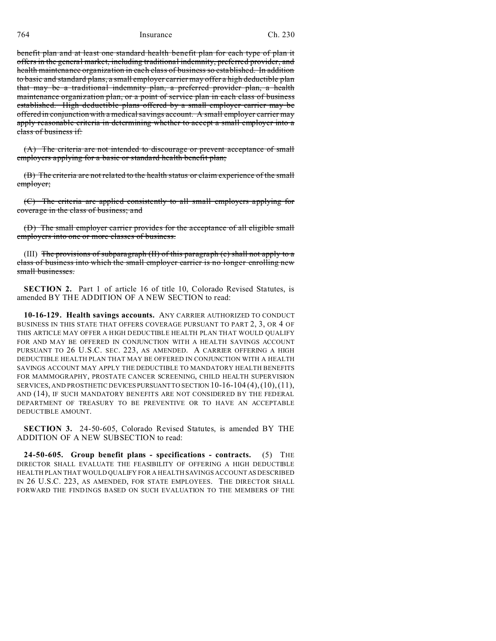764 Insurance Ch. 230

benefit plan and at least one standard health benefit plan for each type of plan it offers in the general market, including traditional indemnity, preferred provider, and health maintenance organization in each class of business so established. In addition to basic and standard plans, a small employer carrier may offer a high deductible plan that may be a traditional indemnity plan, a preferred provider plan, a health maintenance organization plan, or a point of service plan in each class of business established. High deductible plans offered by a small employer carrier may be offered in conjunction with a medical savings account. A small employer carrier may apply reasonable criteria in determining whether to accept a small employer into a class of business if:

(A) The criteria are not intended to discourage or prevent acceptance of small employers applying for a basic or standard health benefit plan;

(B) The criteria are not related to the health status or claim experience of the small employer;

(C) The criteria are applied consistently to all small employers applying for coverage in the class of business; and

(D) The small employer carrier provides for the acceptance of all eligible small employers into one or more classes of business.

(III) The provisions of subparagraph  $(H)$  of this paragraph  $(c)$  shall not apply to a class of business into which the small employer carrier is no longer enrolling new small businesses.

**SECTION 2.** Part 1 of article 16 of title 10, Colorado Revised Statutes, is amended BY THE ADDITION OF A NEW SECTION to read:

**10-16-129. Health savings accounts.** ANY CARRIER AUTHORIZED TO CONDUCT BUSINESS IN THIS STATE THAT OFFERS COVERAGE PURSUANT TO PART 2, 3, OR 4 OF THIS ARTICLE MAY OFFER A HIGH DEDUCTIBLE HEALTH PLAN THAT WOULD QUALIFY FOR AND MAY BE OFFERED IN CONJUNCTION WITH A HEALTH SAVINGS ACCOUNT PURSUANT TO 26 U.S.C. SEC. 223, AS AMENDED. A CARRIER OFFERING A HIGH DEDUCTIBLE HEALTH PLAN THAT MAY BE OFFERED IN CONJUNCTION WITH A HEALTH SAVINGS ACCOUNT MAY APPLY THE DEDUCTIBLE TO MANDATORY HEALTH BENEFITS FOR MAMMOGRAPHY, PROSTATE CANCER SCREENING, CHILD HEALTH SUPERVISION SERVICES, AND PROSTHETIC DEVICES PURSUANT TO SECTION  $10-16-104(4)$ ,  $(10)$ ,  $(11)$ , AND (14), IF SUCH MANDATORY BENEFITS ARE NOT CONSIDERED BY THE FEDERAL DEPARTMENT OF TREASURY TO BE PREVENTIVE OR TO HAVE AN ACCEPTABLE DEDUCTIBLE AMOUNT.

**SECTION 3.** 24-50-605, Colorado Revised Statutes, is amended BY THE ADDITION OF A NEW SUBSECTION to read:

**24-50-605. Group benefit plans - specifications - contracts.** (5) THE DIRECTOR SHALL EVALUATE THE FEASIBILITY OF OFFERING A HIGH DEDUCTIBLE HEALTH PLAN THAT WOULD QUALIFY FOR A HEALTH SAVINGS ACCOUNT AS DESCRIBED IN 26 U.S.C. 223, AS AMENDED, FOR STATE EMPLOYEES. THE DIRECTOR SHALL FORWARD THE FINDINGS BASED ON SUCH EVALUATION TO THE MEMBERS OF THE